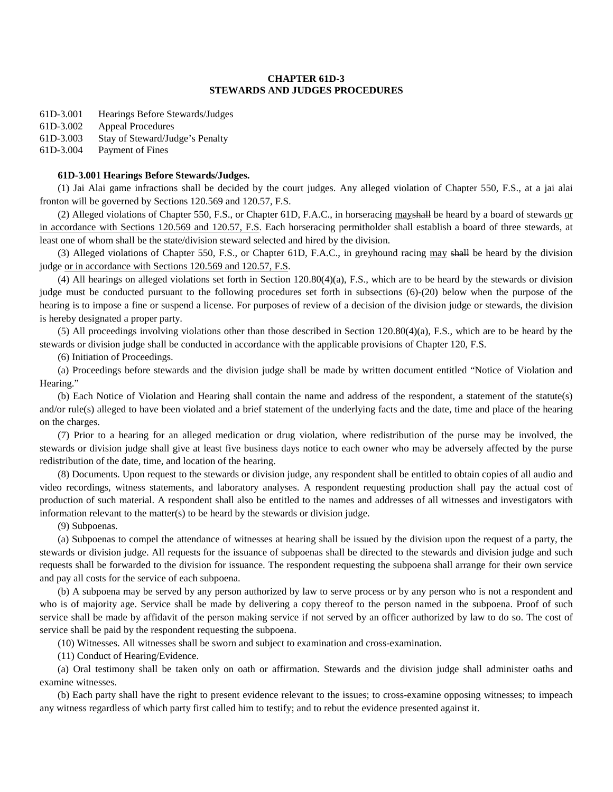# **CHAPTER 61D-3 STEWARDS AND JUDGES PROCEDURES**

61D-3.001 Hearings Before Stewards/Judges

61D-3.002 Appeal Procedures

61D-3.003 Stay of Steward/Judge's Penalty

61D-3.004 Payment of Fines

## **61D-3.001 Hearings Before Stewards/Judges.**

(1) Jai Alai game infractions shall be decided by the court judges. Any alleged violation of Chapter 550, F.S., at a jai alai fronton will be governed by Sections 120.569 and 120.57, F.S.

(2) Alleged violations of Chapter 550, F.S., or Chapter 61D, F.A.C., in horseracing mayshall be heard by a board of stewards or in accordance with Sections 120.569 and 120.57, F.S. Each horseracing permitholder shall establish a board of three stewards, at least one of whom shall be the state/division steward selected and hired by the division.

(3) Alleged violations of Chapter 550, F.S., or Chapter 61D, F.A.C., in greyhound racing may shall be heard by the division judge or in accordance with Sections 120.569 and 120.57, F.S.

(4) All hearings on alleged violations set forth in Section 120.80(4)(a), F.S., which are to be heard by the stewards or division judge must be conducted pursuant to the following procedures set forth in subsections (6)-(20) below when the purpose of the hearing is to impose a fine or suspend a license. For purposes of review of a decision of the division judge or stewards, the division is hereby designated a proper party.

(5) All proceedings involving violations other than those described in Section 120.80(4)(a), F.S., which are to be heard by the stewards or division judge shall be conducted in accordance with the applicable provisions of Chapter 120, F.S.

(6) Initiation of Proceedings.

(a) Proceedings before stewards and the division judge shall be made by written document entitled "Notice of Violation and Hearing."

(b) Each Notice of Violation and Hearing shall contain the name and address of the respondent, a statement of the statute(s) and/or rule(s) alleged to have been violated and a brief statement of the underlying facts and the date, time and place of the hearing on the charges.

(7) Prior to a hearing for an alleged medication or drug violation, where redistribution of the purse may be involved, the stewards or division judge shall give at least five business days notice to each owner who may be adversely affected by the purse redistribution of the date, time, and location of the hearing.

(8) Documents. Upon request to the stewards or division judge, any respondent shall be entitled to obtain copies of all audio and video recordings, witness statements, and laboratory analyses. A respondent requesting production shall pay the actual cost of production of such material. A respondent shall also be entitled to the names and addresses of all witnesses and investigators with information relevant to the matter(s) to be heard by the stewards or division judge.

(9) Subpoenas.

(a) Subpoenas to compel the attendance of witnesses at hearing shall be issued by the division upon the request of a party, the stewards or division judge. All requests for the issuance of subpoenas shall be directed to the stewards and division judge and such requests shall be forwarded to the division for issuance. The respondent requesting the subpoena shall arrange for their own service and pay all costs for the service of each subpoena.

(b) A subpoena may be served by any person authorized by law to serve process or by any person who is not a respondent and who is of majority age. Service shall be made by delivering a copy thereof to the person named in the subpoena. Proof of such service shall be made by affidavit of the person making service if not served by an officer authorized by law to do so. The cost of service shall be paid by the respondent requesting the subpoena.

(10) Witnesses. All witnesses shall be sworn and subject to examination and cross-examination.

(11) Conduct of Hearing/Evidence.

(a) Oral testimony shall be taken only on oath or affirmation. Stewards and the division judge shall administer oaths and examine witnesses.

(b) Each party shall have the right to present evidence relevant to the issues; to cross-examine opposing witnesses; to impeach any witness regardless of which party first called him to testify; and to rebut the evidence presented against it.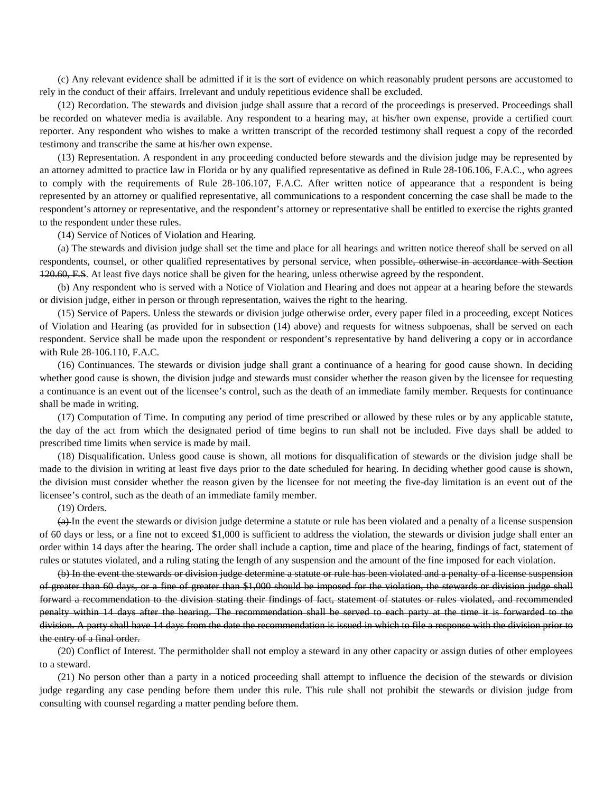(c) Any relevant evidence shall be admitted if it is the sort of evidence on which reasonably prudent persons are accustomed to rely in the conduct of their affairs. Irrelevant and unduly repetitious evidence shall be excluded.

(12) Recordation. The stewards and division judge shall assure that a record of the proceedings is preserved. Proceedings shall be recorded on whatever media is available. Any respondent to a hearing may, at his/her own expense, provide a certified court reporter. Any respondent who wishes to make a written transcript of the recorded testimony shall request a copy of the recorded testimony and transcribe the same at his/her own expense.

(13) Representation. A respondent in any proceeding conducted before stewards and the division judge may be represented by an attorney admitted to practice law in Florida or by any qualified representative as defined in Rule 28-106.106, F.A.C., who agrees to comply with the requirements of Rule 28-106.107, F.A.C. After written notice of appearance that a respondent is being represented by an attorney or qualified representative, all communications to a respondent concerning the case shall be made to the respondent's attorney or representative, and the respondent's attorney or representative shall be entitled to exercise the rights granted to the respondent under these rules.

### (14) Service of Notices of Violation and Hearing.

(a) The stewards and division judge shall set the time and place for all hearings and written notice thereof shall be served on all respondents, counsel, or other qualified representatives by personal service, when possible<del>, otherwise in accordance with Section</del> 120.60, F.S. At least five days notice shall be given for the hearing, unless otherwise agreed by the respondent.

(b) Any respondent who is served with a Notice of Violation and Hearing and does not appear at a hearing before the stewards or division judge, either in person or through representation, waives the right to the hearing.

(15) Service of Papers. Unless the stewards or division judge otherwise order, every paper filed in a proceeding, except Notices of Violation and Hearing (as provided for in subsection (14) above) and requests for witness subpoenas, shall be served on each respondent. Service shall be made upon the respondent or respondent's representative by hand delivering a copy or in accordance with Rule 28-106.110, F.A.C.

(16) Continuances. The stewards or division judge shall grant a continuance of a hearing for good cause shown. In deciding whether good cause is shown, the division judge and stewards must consider whether the reason given by the licensee for requesting a continuance is an event out of the licensee's control, such as the death of an immediate family member. Requests for continuance shall be made in writing.

(17) Computation of Time. In computing any period of time prescribed or allowed by these rules or by any applicable statute, the day of the act from which the designated period of time begins to run shall not be included. Five days shall be added to prescribed time limits when service is made by mail.

(18) Disqualification. Unless good cause is shown, all motions for disqualification of stewards or the division judge shall be made to the division in writing at least five days prior to the date scheduled for hearing. In deciding whether good cause is shown, the division must consider whether the reason given by the licensee for not meeting the five-day limitation is an event out of the licensee's control, such as the death of an immediate family member.

#### (19) Orders.

(a) In the event the stewards or division judge determine a statute or rule has been violated and a penalty of a license suspension of 60 days or less, or a fine not to exceed \$1,000 is sufficient to address the violation, the stewards or division judge shall enter an order within 14 days after the hearing. The order shall include a caption, time and place of the hearing, findings of fact, statement of rules or statutes violated, and a ruling stating the length of any suspension and the amount of the fine imposed for each violation.

(b) In the event the stewards or division judge determine a statute or rule has been violated and a penalty of a license suspension of greater than 60 days, or a fine of greater than \$1,000 should be imposed for the violation, the stewards or division judge shall forward a recommendation to the division stating their findings of fact, statement of statutes or rules violated, and recommended penalty within 14 days after the hearing. The recommendation shall be served to each party at the time it is forwarded to the division. A party shall have 14 days from the date the recommendation is issued in which to file a response with the division prior to the entry of a final order.

(20) Conflict of Interest. The permitholder shall not employ a steward in any other capacity or assign duties of other employees to a steward.

(21) No person other than a party in a noticed proceeding shall attempt to influence the decision of the stewards or division judge regarding any case pending before them under this rule. This rule shall not prohibit the stewards or division judge from consulting with counsel regarding a matter pending before them.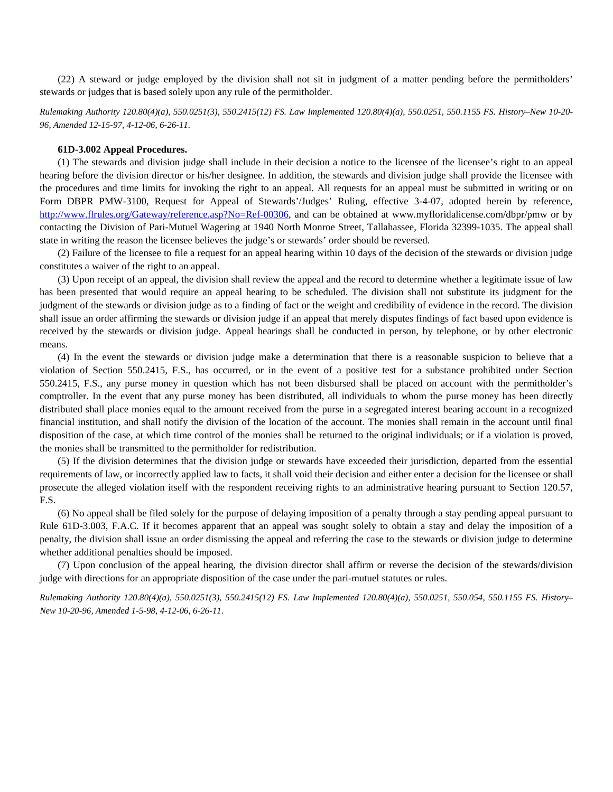(22) A steward or judge employed by the division shall not sit in judgment of a matter pending before the permitholders' stewards or judges that is based solely upon any rule of the permitholder.

*Rulemaking Authority 120.80(4)(a), 550.0251(3), 550.2415(12) FS. Law Implemented 120.80(4)(a), 550.0251, 550.1155 FS. History–New 10-20- 96, Amended 12-15-97, 4-12-06, 6-26-11.*

### **61D-3.002 Appeal Procedures.**

(1) The stewards and division judge shall include in their decision a notice to the licensee of the licensee's right to an appeal hearing before the division director or his/her designee. In addition, the stewards and division judge shall provide the licensee with the procedures and time limits for invoking the right to an appeal. All requests for an appeal must be submitted in writing or on Form DBPR PMW-3100, Request for Appeal of Stewards'/Judges' Ruling, effective 3-4-07, adopted herein by reference, [http://www.flrules.org/Gateway/reference.asp?No=Ref-00306,](http://www.flrules.org/Gateway/reference.asp?No=Ref-00306) and can be obtained at [www.myfloridalicense.com/dbpr/pmw](http://www.myfloridalicense.com/dbpr/pmw) or by contacting the Division of Pari-Mutuel Wagering at 1940 North Monroe Street, Tallahassee, Florida 32399-1035. The appeal shall state in writing the reason the licensee believes the judge's or stewards' order should be reversed.

(2) Failure of the licensee to file a request for an appeal hearing within 10 days of the decision of the stewards or division judge constitutes a waiver of the right to an appeal.

(3) Upon receipt of an appeal, the division shall review the appeal and the record to determine whether a legitimate issue of law has been presented that would require an appeal hearing to be scheduled. The division shall not substitute its judgment for the judgment of the stewards or division judge as to a finding of fact or the weight and credibility of evidence in the record. The division shall issue an order affirming the stewards or division judge if an appeal that merely disputes findings of fact based upon evidence is received by the stewards or division judge. Appeal hearings shall be conducted in person, by telephone, or by other electronic means.

(4) In the event the stewards or division judge make a determination that there is a reasonable suspicion to believe that a violation of Section 550.2415, F.S., has occurred, or in the event of a positive test for a substance prohibited under Section 550.2415, F.S., any purse money in question which has not been disbursed shall be placed on account with the permitholder's comptroller. In the event that any purse money has been distributed, all individuals to whom the purse money has been directly distributed shall place monies equal to the amount received from the purse in a segregated interest bearing account in a recognized financial institution, and shall notify the division of the location of the account. The monies shall remain in the account until final disposition of the case, at which time control of the monies shall be returned to the original individuals; or if a violation is proved, the monies shall be transmitted to the permitholder for redistribution.

(5) If the division determines that the division judge or stewards have exceeded their jurisdiction, departed from the essential requirements of law, or incorrectly applied law to facts, it shall void their decision and either enter a decision for the licensee or shall prosecute the alleged violation itself with the respondent receiving rights to an administrative hearing pursuant to Section 120.57, F.S.

(6) No appeal shall be filed solely for the purpose of delaying imposition of a penalty through a stay pending appeal pursuant to Rule 61D-3.003, F.A.C. If it becomes apparent that an appeal was sought solely to obtain a stay and delay the imposition of a penalty, the division shall issue an order dismissing the appeal and referring the case to the stewards or division judge to determine whether additional penalties should be imposed.

(7) Upon conclusion of the appeal hearing, the division director shall affirm or reverse the decision of the stewards/division judge with directions for an appropriate disposition of the case under the pari-mutuel statutes or rules.

*Rulemaking Authority 120.80(4)(a), 550.0251(3), 550.2415(12) FS. Law Implemented 120.80(4)(a), 550.0251, 550.054, 550.1155 FS. History– New 10-20-96, Amended 1-5-98, 4-12-06, 6-26-11.*